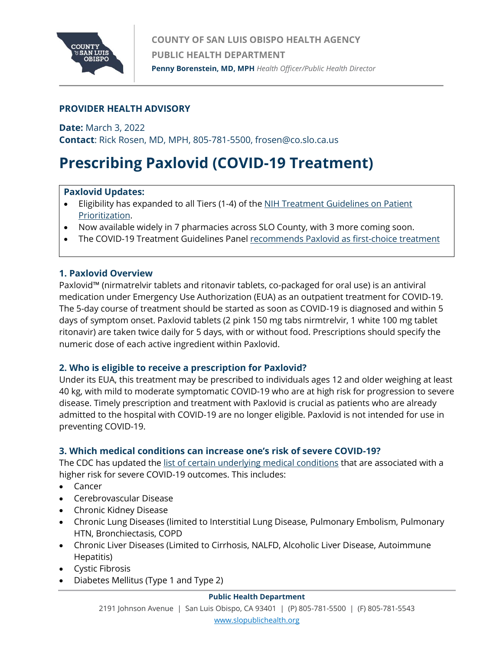

# **PROVIDER HEALTH ADVISORY**

**Date:** March 3, 2022

**Contact**: Rick Rosen, MD, MPH, 805-781-5500, frosen@co.slo.ca.us

# **Prescribing Paxlovid (COVID-19 Treatment)**

## **Paxlovid Updates:**

- Eligibility has expanded to all Tiers (1-4) of th[e NIH Treatment Guidelines on Patient](https://www.covid19treatmentguidelines.nih.gov/therapies/statement-on-patient-prioritization-for-outpatient-therapies/)  [Prioritization.](https://www.covid19treatmentguidelines.nih.gov/therapies/statement-on-patient-prioritization-for-outpatient-therapies/)
- Now available widely in 7 pharmacies across SLO County, with 3 more coming soon.
- The COVID-19 Treatment Guidelines Pane[l recommends Paxlovid as first-choice treatment](https://www.covid19treatmentguidelines.nih.gov/therapies/statement-on-bebtelovimab/)

## **1. Paxlovid Overview**

Paxlovid™ (nirmatrelvir tablets and ritonavir tablets, co-packaged for oral use) is an antiviral medication under Emergency Use Authorization (EUA) as an outpatient treatment for COVID-19. The 5-day course of treatment should be started as soon as COVID-19 is diagnosed and within 5 days of symptom onset. Paxlovid tablets (2 pink 150 mg tabs nirmtrelvir, 1 white 100 mg tablet ritonavir) are taken twice daily for 5 days, with or without food. Prescriptions should specify the numeric dose of each active ingredient within Paxlovid.

## **2. Who is eligible to receive a prescription for Paxlovid?**

Under its EUA, this treatment may be prescribed to individuals ages 12 and older weighing at least 40 kg, with mild to moderate symptomatic COVID-19 who are at high risk for progression to severe disease. Timely prescription and treatment with Paxlovid is crucial as patients who are already admitted to the hospital with COVID-19 are no longer eligible. Paxlovid is not intended for use in preventing COVID-19.

## **3. Which medical conditions can increase one's risk of severe COVID-19?**

The CDC has updated the [list of certain underlying medical conditions](https://www.cdc.gov/coronavirus/2019-ncov/hcp/clinical-care/underlyingconditions.html?ACSTrackingID=USCDC_1052-DM76136&ACSTrackingLabel=COCA%20Now%3A%20Updated%20List%20of%20High-Risk%20Medical%20Conditions%20for%20Severe%20COVID-19%20Outcomes&deliveryName=USCDC_1052-DM76136) that are associated with a higher risk for severe COVID-19 outcomes. This includes:

- Cancer
- Cerebrovascular Disease
- Chronic Kidney Disease
- Chronic Lung Diseases (limited to Interstitial Lung Disease, Pulmonary Embolism, Pulmonary HTN, Bronchiectasis, COPD
- Chronic Liver Diseases (Limited to Cirrhosis, NALFD, Alcoholic Liver Disease, Autoimmune Hepatitis)
- Cystic Fibrosis
- Diabetes Mellitus (Type 1 and Type 2)

#### **Public Health Department**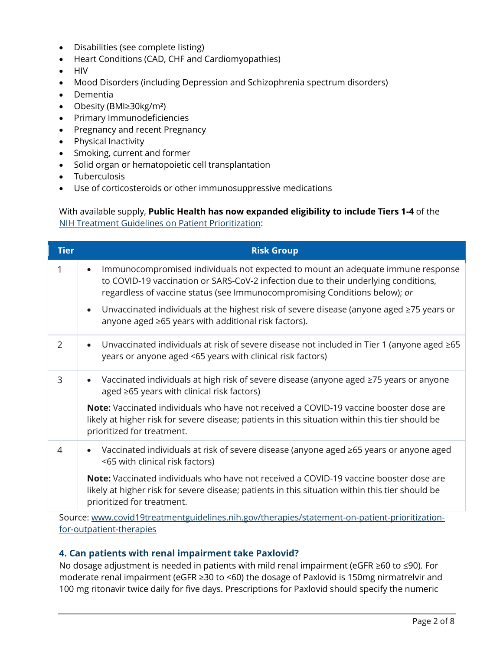- Disabilities (see complete listing)
- Heart Conditions (CAD, CHF and Cardiomyopathies)
- HIV
- Mood Disorders (including Depression and Schizophrenia spectrum disorders)
- Dementia
- Obesity (BMI≥30kg/m²)
- Primary Immunodeficiencies
- Pregnancy and recent Pregnancy
- Physical Inactivity
- Smoking, current and former
- Solid organ or hematopoietic cell transplantation
- Tuberculosis
- Use of corticosteroids or other immunosuppressive medications

### With available supply, **Public Health has now expanded eligibility to include Tiers 1-4** of the [NIH Treatment Guidelines on](https://www.covid19treatmentguidelines.nih.gov/therapies/statement-on-patient-prioritization-for-outpatient-therapies/) Patient Prioritization:

| <b>Tier</b> | <b>Risk Group</b>                                                                                                                                                                                                                                    |
|-------------|------------------------------------------------------------------------------------------------------------------------------------------------------------------------------------------------------------------------------------------------------|
| 1           | Immunocompromised individuals not expected to mount an adequate immune response<br>to COVID-19 vaccination or SARS-CoV-2 infection due to their underlying conditions,<br>regardless of vaccine status (see Immunocompromising Conditions below); or |
|             | Unvaccinated individuals at the highest risk of severe disease (anyone aged ≥75 years or<br>$\bullet$<br>anyone aged ≥65 years with additional risk factors).                                                                                        |
| 2           | Unvaccinated individuals at risk of severe disease not included in Tier 1 (anyone aged ≥65<br>years or anyone aged <65 years with clinical risk factors)                                                                                             |
| 3           | Vaccinated individuals at high risk of severe disease (anyone aged ≥75 years or anyone<br>aged ≥65 years with clinical risk factors)                                                                                                                 |
|             | <b>Note:</b> Vaccinated individuals who have not received a COVID-19 vaccine booster dose are<br>likely at higher risk for severe disease; patients in this situation within this tier should be<br>prioritized for treatment.                       |
| 4           | Vaccinated individuals at risk of severe disease (anyone aged ≥65 years or anyone aged<br><65 with clinical risk factors)                                                                                                                            |
|             | <b>Note:</b> Vaccinated individuals who have not received a COVID-19 vaccine booster dose are<br>likely at higher risk for severe disease; patients in this situation within this tier should be<br>prioritized for treatment.                       |

Source: [www.covid19treatmentguidelines.nih.gov/therapies/statement-on-patient-prioritization](http://www.covid19treatmentguidelines.nih.gov/therapies/statement-on-patient-prioritization-for-outpatient-therapies)[for-outpatient-therapies](http://www.covid19treatmentguidelines.nih.gov/therapies/statement-on-patient-prioritization-for-outpatient-therapies)

# **4. Can patients with renal impairment take Paxlovid?**

No dosage adjustment is needed in patients with mild renal impairment (eGFR ≥60 to ≤90). For moderate renal impairment (eGFR ≥30 to <60) the dosage of Paxlovid is 150mg nirmatrelvir and 100 mg ritonavir twice daily for five days. Prescriptions for Paxlovid should specify the numeric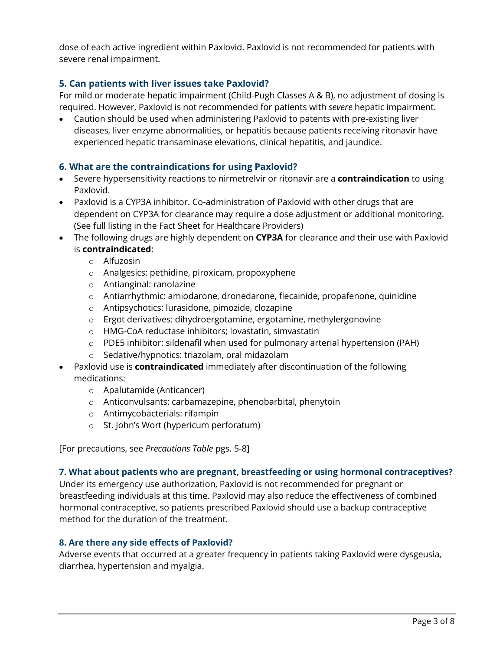dose of each active ingredient within Paxlovid. Paxlovid is not recommended for patients with severe renal impairment.

# **5. Can patients with liver issues take Paxlovid?**

For mild or moderate hepatic impairment (Child-Pugh Classes A & B), no adjustment of dosing is required. However, Paxlovid is not recommended for patients with *severe* hepatic impairment.

• Caution should be used when administering Paxlovid to patents with pre-existing liver diseases, liver enzyme abnormalities, or hepatitis because patients receiving ritonavir have experienced hepatic transaminase elevations, clinical hepatitis, and jaundice.

## **6. What are the contraindications for using Paxlovid?**

- Severe hypersensitivity reactions to nirmetrelvir or ritonavir are a **contraindication** to using Paxlovid.
- Paxlovid is a CYP3A inhibitor. Co-administration of Paxlovid with other drugs that are dependent on CYP3A for clearance may require a dose adjustment or additional monitoring. (See full listing in the Fact Sheet for Healthcare Providers)
- The following drugs are highly dependent on **CYP3A** for clearance and their use with Paxlovid is **contraindicated**:
	- o Alfuzosin
	- o Analgesics: pethidine, piroxicam, propoxyphene
	- o Antianginal: ranolazine
	- o Antiarrhythmic: amiodarone, dronedarone, flecainide, propafenone, quinidine
	- o Antipsychotics: lurasidone, pimozide, clozapine
	- o Ergot derivatives: dihydroergotamine, ergotamine, methylergonovine
	- o HMG-CoA reductase inhibitors; lovastatin, simvastatin
	- o PDE5 inhibitor: sildenafil when used for pulmonary arterial hypertension (PAH)
	- o Sedative/hypnotics: triazolam, oral midazolam
- Paxlovid use is **contraindicated** immediately after discontinuation of the following medications:
	- o Apalutamide (Anticancer)
	- o Anticonvulsants: carbamazepine, phenobarbital, phenytoin
	- o Antimycobacterials: rifampin
	- o St. John's Wort (hypericum perforatum)

[For precautions, see *Precautions Table* pgs. 5-8]

#### **7. What about patients who are pregnant, breastfeeding or using hormonal contraceptives?**

Under its emergency use authorization, Paxlovid is not recommended for pregnant or breastfeeding individuals at this time. Paxlovid may also reduce the effectiveness of combined hormonal contraceptive, so patients prescribed Paxlovid should use a backup contraceptive method for the duration of the treatment.

#### **8. Are there any side effects of Paxlovid?**

Adverse events that occurred at a greater frequency in patients taking Paxlovid were dysgeusia, diarrhea, hypertension and myalgia.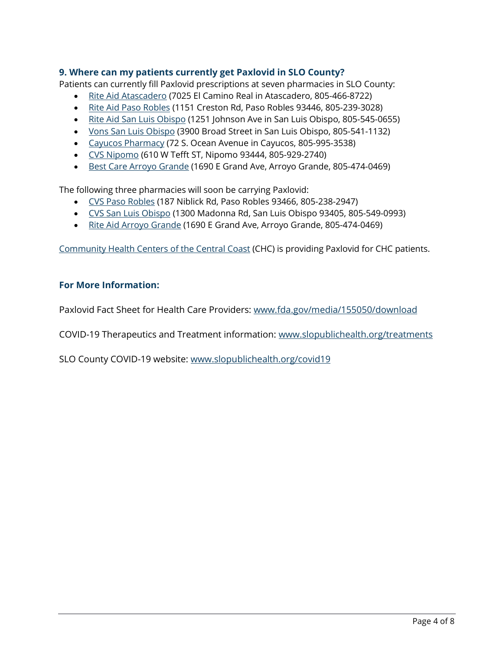## **9. Where can my patients currently get Paxlovid in SLO County?**

Patients can currently fill Paxlovid prescriptions at seven pharmacies in SLO County:

- [Rite Aid Atascadero](https://www.riteaid.com/locations/ca/atascadero/7025-el-camino-real.html) (7025 El Camino Real in Atascadero, 805-466-8722)
- [Rite Aid Paso Robles](https://www.riteaid.com/locations/ca/paso-robles/1151-creston-road.html) (1151 Creston Rd, Paso Robles 93446, 805-239-3028)
- [Rite Aid San Luis Obispo](https://www.riteaid.com/locations/ca/san-luis-obispo/1251-johnson-avenue.html) (1251 Johnson Ave in San Luis Obispo, 805-545-0655)
- [Vons San Luis Obispo](https://local.pharmacy.vons.com/ca/san-luis-obispo/3900-broad-st.html) (3900 Broad Street in San Luis Obispo, 805-541-1132)
- [Cayucos Pharmacy](https://cayucospharmacy.com/) (72 S. Ocean Avenue in Cayucos, 805-995-3538)
- [CVS Nipomo](https://www.cvs.com/store-locator/nipomo-ca-pharmacies/610-west-tefft-street-tefft-street-and-mary-nipomo-ca-93444/storeid=9782) (610 W Tefft ST, Nipomo 93444, 805-929-2740)
- [Best Care Arroyo Grande](https://www.bestcarepharmacydme.com/locations) (1690 E Grand Ave, Arroyo Grande, 805-474-0469)

The following three pharmacies will soon be carrying Paxlovid:

- [CVS Paso Robles](https://www.cvs.com/store-locator/paso-robles-ca-pharmacies/187-niblick-rd-paso-robles-ca-93446/storeid=9925) (187 Niblick Rd, Paso Robles 93466, 805-238-2947)
- [CVS San Luis Obispo](https://www.cvs.com/store-locator/san-luis-obispo-ca-pharmacies/1300-madonna-rd-san-luis-obispo-ca-93405/storeid=9873) (1300 Madonna Rd, San Luis Obispo 93405, 805-549-0993)
- [Rite Aid Arroyo Grande](https://www.riteaid.com/locations/ca/arroyo-grande/1690-east-grand-avenue.html) (1690 E Grand Ave, Arroyo Grande, 805-474-0469)

[Community Health Centers of the Central Coast](https://www.communityhealthcenters.org/) (CHC) is providing Paxlovid for CHC patients.

## **For More Information:**

Paxlovid Fact Sheet for Health Care Providers: [www.fda.gov/media/155050/download](http://www.fda.gov/media/155050/download)

COVID-19 Therapeutics and Treatment information: [www.slopublichealth.org/treatments](http://www.slopublichealth.org/treatments)

SLO County COVID-19 website: [www.slopublichealth.org/covid19](http://www.slopublichealth.org/covid19)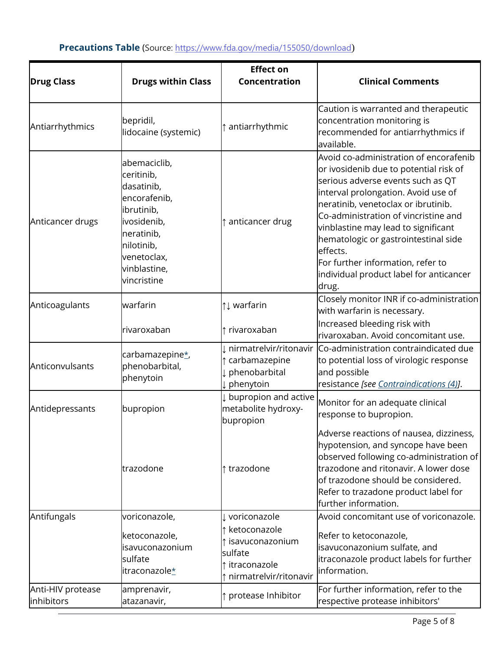| <b>Drug Class</b>               | <b>Drugs within Class</b>                                                                                                                                       | <b>Effect on</b><br>Concentration                                                                   | <b>Clinical Comments</b>                                                                                                                                                                                                                                                                                                                                                                                                         |
|---------------------------------|-----------------------------------------------------------------------------------------------------------------------------------------------------------------|-----------------------------------------------------------------------------------------------------|----------------------------------------------------------------------------------------------------------------------------------------------------------------------------------------------------------------------------------------------------------------------------------------------------------------------------------------------------------------------------------------------------------------------------------|
| Antiarrhythmics                 | bepridil,<br>lidocaine (systemic)                                                                                                                               | antiarrhythmic                                                                                      | Caution is warranted and therapeutic<br>concentration monitoring is<br>recommended for antiarrhythmics if<br>available.                                                                                                                                                                                                                                                                                                          |
| Anticancer drugs                | abemaciclib,<br>ceritinib,<br>dasatinib,<br>encorafenib,<br>ibrutinib,<br>ivosidenib,<br>neratinib,<br>nilotinib,<br>venetoclax,<br>vinblastine,<br>vincristine | ↑ anticancer drug                                                                                   | Avoid co-administration of encorafenib<br>or ivosidenib due to potential risk of<br>serious adverse events such as QT<br>interval prolongation. Avoid use of<br>neratinib, venetoclax or ibrutinib.<br>Co-administration of vincristine and<br>vinblastine may lead to significant<br>hematologic or gastrointestinal side<br>leffects.<br>For further information, refer to<br>individual product label for anticancer<br>drug. |
| Anticoagulants                  | warfarin                                                                                                                                                        | $\uparrow \downarrow$ warfarin                                                                      | Closely monitor INR if co-administration<br>with warfarin is necessary.                                                                                                                                                                                                                                                                                                                                                          |
|                                 | rivaroxaban                                                                                                                                                     | $\uparrow$ rivaroxaban                                                                              | Increased bleeding risk with<br>rivaroxaban. Avoid concomitant use.                                                                                                                                                                                                                                                                                                                                                              |
| Anticonvulsants                 | carbamazepine*<br>phenobarbital,<br>phenytoin                                                                                                                   | I nirmatrelvir/ritonavir<br>t carbamazepine<br>phenobarbital<br>phenytoin                           | Co-administration contraindicated due<br>to potential loss of virologic response<br>and possible<br>resistance [see Contraindications (4)].                                                                                                                                                                                                                                                                                      |
| Antidepressants                 | bupropion                                                                                                                                                       | $\downarrow$ bupropion and active<br>metabolite hydroxy-<br>bupropion                               | Monitor for an adequate clinical<br>response to bupropion.                                                                                                                                                                                                                                                                                                                                                                       |
|                                 | trazodone                                                                                                                                                       | ↑ trazodone                                                                                         | Adverse reactions of nausea, dizziness,<br>hypotension, and syncope have been<br>observed following co-administration of<br>trazodone and ritonavir. A lower dose<br>of trazodone should be considered.<br>Refer to trazadone product label for<br>further information.                                                                                                                                                          |
| Antifungals                     | voriconazole,                                                                                                                                                   | ↓ voriconazole                                                                                      | Avoid concomitant use of voriconazole.                                                                                                                                                                                                                                                                                                                                                                                           |
|                                 | ketoconazole,<br>isavuconazonium<br>sulfate<br>itraconazole*                                                                                                    | ketoconazole<br>$\uparrow$ isavuconazonium<br>sulfate<br>↑ itraconazole<br>↑ nirmatrelvir/ritonavir | Refer to ketoconazole,<br>isavuconazonium sulfate, and<br>itraconazole product labels for further<br>information.                                                                                                                                                                                                                                                                                                                |
| Anti-HIV protease<br>inhibitors | amprenavir,<br>atazanavir,                                                                                                                                      | ↑ protease Inhibitor                                                                                | For further information, refer to the<br>respective protease inhibitors'                                                                                                                                                                                                                                                                                                                                                         |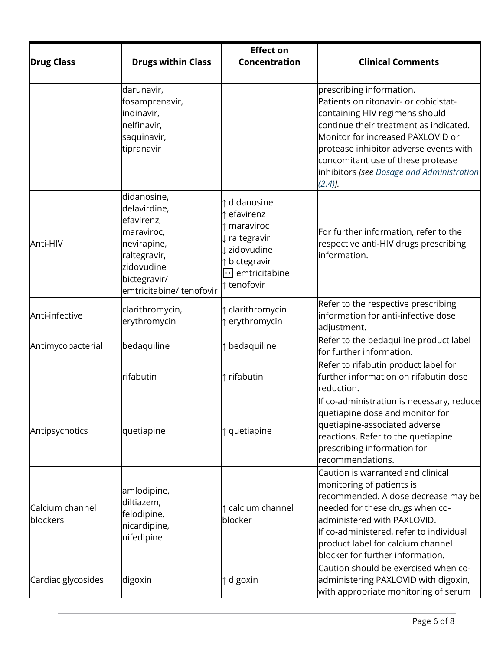|                             |                                                                                                                                                  | <b>Effect on</b>                                                                                                                                            |                                                                                                                                                                                                                                                                                                                             |
|-----------------------------|--------------------------------------------------------------------------------------------------------------------------------------------------|-------------------------------------------------------------------------------------------------------------------------------------------------------------|-----------------------------------------------------------------------------------------------------------------------------------------------------------------------------------------------------------------------------------------------------------------------------------------------------------------------------|
| <b>Drug Class</b>           | <b>Drugs within Class</b>                                                                                                                        | Concentration                                                                                                                                               | <b>Clinical Comments</b>                                                                                                                                                                                                                                                                                                    |
|                             | darunavir,<br>fosamprenavir,<br>indinavir,<br>nelfinavir,<br>saquinavir,<br>tipranavir                                                           |                                                                                                                                                             | prescribing information.<br>Patients on ritonavir- or cobicistat-<br>containing HIV regimens should<br>continue their treatment as indicated.<br>Monitor for increased PAXLOVID or<br>protease inhibitor adverse events with<br>concomitant use of these protease<br>inhibitors [see Dosage and Administration<br>$(2.4)$ . |
| Anti-HIV                    | didanosine,<br>delavirdine,<br>efavirenz,<br>maraviroc,<br>nevirapine,<br>raltegravir,<br>zidovudine<br>bictegravir/<br>emtricitabine/ tenofovir | ↑ didanosine<br>t efavirenz<br>$\uparrow$ maraviroc<br>raltegravir<br>zidovudine<br>t bictegravir<br>$\overline{\overline{U}}$ emtricitabine<br>↑ tenofovir | For further information, refer to the<br>respective anti-HIV drugs prescribing<br>information.                                                                                                                                                                                                                              |
| Anti-infective              | clarithromycin,<br>erythromycin                                                                                                                  | ↑ clarithromycin<br>↑ erythromycin                                                                                                                          | Refer to the respective prescribing<br>information for anti-infective dose<br>adjustment.                                                                                                                                                                                                                                   |
| Antimycobacterial           | bedaquiline                                                                                                                                      | ↑ bedaquiline                                                                                                                                               | Refer to the bedaquiline product label<br>for further information.<br>Refer to rifabutin product label for                                                                                                                                                                                                                  |
|                             | rifabutin                                                                                                                                        | ↑ rifabutin                                                                                                                                                 | further information on rifabutin dose<br>reduction.                                                                                                                                                                                                                                                                         |
| Antipsychotics              | quetiapine                                                                                                                                       | ↑ quetiapine                                                                                                                                                | If co-administration is necessary, reduce<br>quetiapine dose and monitor for<br>quetiapine-associated adverse<br>reactions. Refer to the quetiapine<br>prescribing information for<br>recommendations.                                                                                                                      |
| Calcium channel<br>blockers | amlodipine,<br>diltiazem,<br>felodipine,<br>nicardipine,<br>nifedipine                                                                           | ↑ calcium channel<br>blocker                                                                                                                                | Caution is warranted and clinical<br>monitoring of patients is<br>recommended. A dose decrease may be<br>needed for these drugs when co-<br>administered with PAXLOVID.<br>If co-administered, refer to individual<br>product label for calcium channel<br>blocker for further information.                                 |
| Cardiac glycosides          | digoxin                                                                                                                                          | ↑ digoxin                                                                                                                                                   | Caution should be exercised when co-<br>administering PAXLOVID with digoxin,<br>with appropriate monitoring of serum                                                                                                                                                                                                        |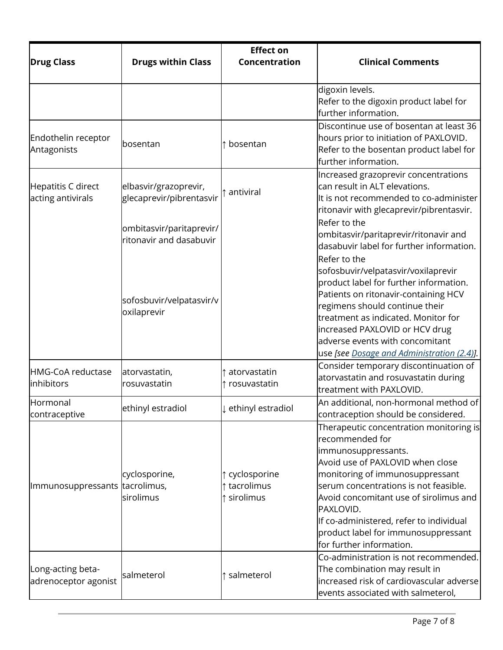|                                           |                                                     | <b>Effect on</b>                            |                                                                                                                                                                                                                                                                                                                                                                        |
|-------------------------------------------|-----------------------------------------------------|---------------------------------------------|------------------------------------------------------------------------------------------------------------------------------------------------------------------------------------------------------------------------------------------------------------------------------------------------------------------------------------------------------------------------|
| <b>Drug Class</b>                         | <b>Drugs within Class</b>                           | Concentration                               | <b>Clinical Comments</b>                                                                                                                                                                                                                                                                                                                                               |
|                                           |                                                     |                                             | digoxin levels.<br>Refer to the digoxin product label for<br>further information.                                                                                                                                                                                                                                                                                      |
| Endothelin receptor<br>Antagonists        | <b>bosentan</b>                                     | bosentan                                    | Discontinue use of bosentan at least 36<br>hours prior to initiation of PAXLOVID.<br>Refer to the bosentan product label for<br>further information.                                                                                                                                                                                                                   |
| Hepatitis C direct<br>acting antivirals   | elbasvir/grazoprevir,<br>glecaprevir/pibrentasvir   | antiviral                                   | Increased grazoprevir concentrations<br>can result in ALT elevations.<br>It is not recommended to co-administer<br>ritonavir with glecaprevir/pibrentasvir.                                                                                                                                                                                                            |
|                                           | ombitasvir/paritaprevir/<br>ritonavir and dasabuvir |                                             | Refer to the<br>ombitasvir/paritaprevir/ritonavir and<br>dasabuvir label for further information.                                                                                                                                                                                                                                                                      |
|                                           | sofosbuvir/velpatasvir/v<br>oxilaprevir             |                                             | Refer to the<br>sofosbuvir/velpatasvir/voxilaprevir<br>product label for further information.<br>Patients on ritonavir-containing HCV<br>regimens should continue their<br>treatment as indicated. Monitor for<br>increased PAXLOVID or HCV drug<br>adverse events with concomitant<br>use [see Dosage and Administration (2.4)].                                      |
| HMG-CoA reductase<br>inhibitors           | atorvastatin,<br>rosuvastatin                       | atorvastatin<br>↑ rosuvastatin              | Consider temporary discontinuation of<br>atorvastatin and rosuvastatin during<br>treatment with PAXLOVID.                                                                                                                                                                                                                                                              |
| Hormonal<br>contraceptive                 | ethinyl estradiol                                   | ↓ ethinyl estradiol                         | An additional, non-hormonal method of<br>contraception should be considered.                                                                                                                                                                                                                                                                                           |
| Immunosuppressants tacrolimus,            | cyclosporine,<br>sirolimus                          | ↑ cyclosporine<br>↑ tacrolimus<br>sirolimus | Therapeutic concentration monitoring is<br>recommended for<br>immunosuppressants.<br>Avoid use of PAXLOVID when close<br>monitoring of immunosuppressant<br>serum concentrations is not feasible.<br>Avoid concomitant use of sirolimus and<br>PAXLOVID.<br>If co-administered, refer to individual<br>product label for immunosuppressant<br>for further information. |
| Long-acting beta-<br>adrenoceptor agonist | salmeterol                                          | ↑ salmeterol                                | Co-administration is not recommended.<br>The combination may result in<br>increased risk of cardiovascular adverse<br>events associated with salmeterol,                                                                                                                                                                                                               |